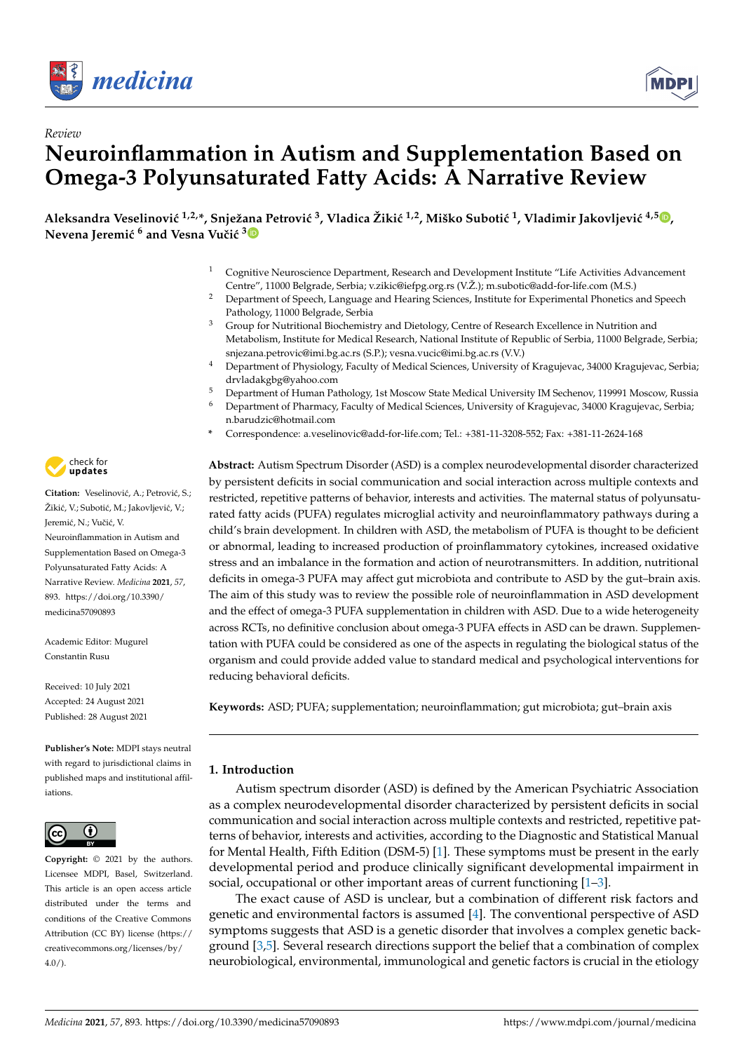

*Review*



# **Neuroinflammation in Autism and Supplementation Based on Omega-3 Polyunsaturated Fatty Acids: A Narrative Review**

 $A$ leksandra Veselinović <sup>1[,](https://orcid.org/0000-0002-0071-8376)2,</sup>\*, Snježana Petrović <sup>3</sup>, Vladica Žikić <sup>1,2</sup>, Miško Subotić <sup>1</sup>, Vladimir Jakovljević <sup>4,5</sup>0, **Nevena Jeremić<sup>6</sup> and Vesna Vučić<sup>[3](https://orcid.org/0000-0002-8563-594X)</sup>** 

- <sup>1</sup> Cognitive Neuroscience Department, Research and Development Institute "Life Activities Advancement Centre", 11000 Belgrade, Serbia; v.zikic@iefpg.org.rs (V.Ž.); m.subotic@add-for-life.com (M.S.)
- <sup>2</sup> Department of Speech, Language and Hearing Sciences, Institute for Experimental Phonetics and Speech Pathology, 11000 Belgrade, Serbia
- <sup>3</sup> Group for Nutritional Biochemistry and Dietology, Centre of Research Excellence in Nutrition and Metabolism, Institute for Medical Research, National Institute of Republic of Serbia, 11000 Belgrade, Serbia; snjezana.petrovic@imi.bg.ac.rs (S.P.); vesna.vucic@imi.bg.ac.rs (V.V.)
- <sup>4</sup> Department of Physiology, Faculty of Medical Sciences, University of Kragujevac, 34000 Kragujevac, Serbia; drvladakgbg@yahoo.com
- <sup>5</sup> Department of Human Pathology, 1st Moscow State Medical University IM Sechenov, 119991 Moscow, Russia
- <sup>6</sup> Department of Pharmacy, Faculty of Medical Sciences, University of Kragujevac, 34000 Kragujevac, Serbia; n.barudzic@hotmail.com
- **\*** Correspondence: a.veselinovic@add-for-life.com; Tel.: +381-11-3208-552; Fax: +381-11-2624-168

**Abstract:** Autism Spectrum Disorder (ASD) is a complex neurodevelopmental disorder characterized by persistent deficits in social communication and social interaction across multiple contexts and restricted, repetitive patterns of behavior, interests and activities. The maternal status of polyunsaturated fatty acids (PUFA) regulates microglial activity and neuroinflammatory pathways during a child's brain development. In children with ASD, the metabolism of PUFA is thought to be deficient or abnormal, leading to increased production of proinflammatory cytokines, increased oxidative stress and an imbalance in the formation and action of neurotransmitters. In addition, nutritional deficits in omega-3 PUFA may affect gut microbiota and contribute to ASD by the gut–brain axis. The aim of this study was to review the possible role of neuroinflammation in ASD development and the effect of omega-3 PUFA supplementation in children with ASD. Due to a wide heterogeneity across RCTs, no definitive conclusion about omega-3 PUFA effects in ASD can be drawn. Supplementation with PUFA could be considered as one of the aspects in regulating the biological status of the organism and could provide added value to standard medical and psychological interventions for reducing behavioral deficits.

**Keywords:** ASD; PUFA; supplementation; neuroinflammation; gut microbiota; gut–brain axis

# **1. Introduction**

Autism spectrum disorder (ASD) is defined by the American Psychiatric Association as a complex neurodevelopmental disorder characterized by persistent deficits in social communication and social interaction across multiple contexts and restricted, repetitive patterns of behavior, interests and activities, according to the Diagnostic and Statistical Manual for Mental Health, Fifth Edition (DSM-5) [\[1\]](#page-9-0). These symptoms must be present in the early developmental period and produce clinically significant developmental impairment in social, occupational or other important areas of current functioning [\[1](#page-9-0)[–3\]](#page-9-1).

The exact cause of ASD is unclear, but a combination of different risk factors and genetic and environmental factors is assumed [\[4\]](#page-9-2). The conventional perspective of ASD symptoms suggests that ASD is a genetic disorder that involves a complex genetic background [\[3,](#page-9-1)[5\]](#page-9-3). Several research directions support the belief that a combination of complex neurobiological, environmental, immunological and genetic factors is crucial in the etiology



Citation: Veselinović, A.; Petrović, S.; Žikić, V.; Subotić, M.; Jakovljević, V.; Jeremić, N.; Vučić, V. Neuroinflammation in Autism and Supplementation Based on Omega-3 Polyunsaturated Fatty Acids: A Narrative Review. *Medicina* **2021**, *57*, 893. [https://doi.org/10.3390/](https://doi.org/10.3390/medicina57090893) [medicina57090893](https://doi.org/10.3390/medicina57090893)

Academic Editor: Mugurel Constantin Rusu

Received: 10 July 2021 Accepted: 24 August 2021 Published: 28 August 2021

**Publisher's Note:** MDPI stays neutral with regard to jurisdictional claims in published maps and institutional affiliations.



**Copyright:** © 2021 by the authors. Licensee MDPI, Basel, Switzerland. This article is an open access article distributed under the terms and conditions of the Creative Commons Attribution (CC BY) license (https:/[/](https://creativecommons.org/licenses/by/4.0/) [creativecommons.org/licenses/by/](https://creativecommons.org/licenses/by/4.0/)  $4.0/$ ).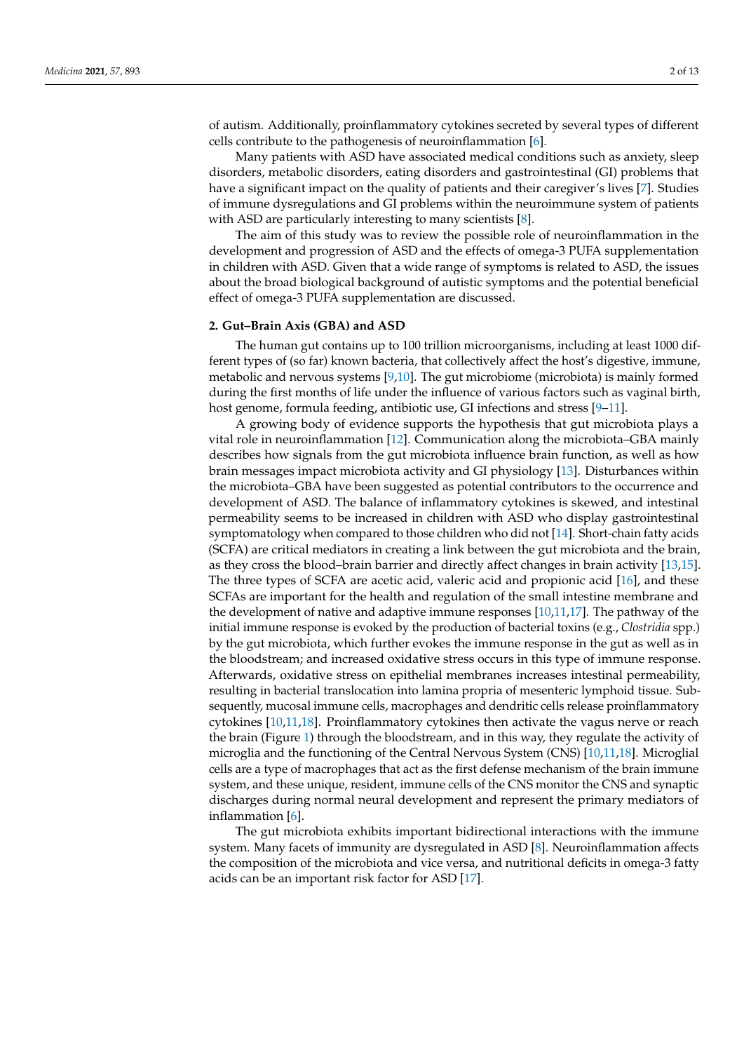of autism. Additionally, proinflammatory cytokines secreted by several types of different cells contribute to the pathogenesis of neuroinflammation [\[6\]](#page-9-4).

Many patients with ASD have associated medical conditions such as anxiety, sleep disorders, metabolic disorders, eating disorders and gastrointestinal (GI) problems that have a significant impact on the quality of patients and their caregiver's lives [\[7\]](#page-10-0). Studies of immune dysregulations and GI problems within the neuroimmune system of patients with ASD are particularly interesting to many scientists [\[8\]](#page-10-1).

The aim of this study was to review the possible role of neuroinflammation in the development and progression of ASD and the effects of omega-3 PUFA supplementation in children with ASD. Given that a wide range of symptoms is related to ASD, the issues about the broad biological background of autistic symptoms and the potential beneficial effect of omega-3 PUFA supplementation are discussed.

# **2. Gut–Brain Axis (GBA) and ASD**

The human gut contains up to 100 trillion microorganisms, including at least 1000 different types of (so far) known bacteria, that collectively affect the host's digestive, immune, metabolic and nervous systems [\[9](#page-10-2)[,10\]](#page-10-3). The gut microbiome (microbiota) is mainly formed during the first months of life under the influence of various factors such as vaginal birth, host genome, formula feeding, antibiotic use, GI infections and stress [\[9–](#page-10-2)[11\]](#page-10-4).

A growing body of evidence supports the hypothesis that gut microbiota plays a vital role in neuroinflammation [\[12\]](#page-10-5). Communication along the microbiota–GBA mainly describes how signals from the gut microbiota influence brain function, as well as how brain messages impact microbiota activity and GI physiology [\[13\]](#page-10-6). Disturbances within the microbiota–GBA have been suggested as potential contributors to the occurrence and development of ASD. The balance of inflammatory cytokines is skewed, and intestinal permeability seems to be increased in children with ASD who display gastrointestinal symptomatology when compared to those children who did not [\[14\]](#page-10-7). Short-chain fatty acids (SCFA) are critical mediators in creating a link between the gut microbiota and the brain, as they cross the blood–brain barrier and directly affect changes in brain activity [\[13,](#page-10-6)[15\]](#page-10-8). The three types of SCFA are acetic acid, valeric acid and propionic acid [\[16\]](#page-10-9), and these SCFAs are important for the health and regulation of the small intestine membrane and the development of native and adaptive immune responses [\[10,](#page-10-3)[11](#page-10-4)[,17\]](#page-10-10). The pathway of the initial immune response is evoked by the production of bacterial toxins (e.g., *Clostridia* spp.) by the gut microbiota, which further evokes the immune response in the gut as well as in the bloodstream; and increased oxidative stress occurs in this type of immune response. Afterwards, oxidative stress on epithelial membranes increases intestinal permeability, resulting in bacterial translocation into lamina propria of mesenteric lymphoid tissue. Subsequently, mucosal immune cells, macrophages and dendritic cells release proinflammatory cytokines [\[10,](#page-10-3)[11,](#page-10-4)[18\]](#page-10-11). Proinflammatory cytokines then activate the vagus nerve or reach the brain (Figure [1\)](#page-2-0) through the bloodstream, and in this way, they regulate the activity of microglia and the functioning of the Central Nervous System (CNS) [\[10,](#page-10-3)[11](#page-10-4)[,18\]](#page-10-11). Microglial cells are a type of macrophages that act as the first defense mechanism of the brain immune system, and these unique, resident, immune cells of the CNS monitor the CNS and synaptic discharges during normal neural development and represent the primary mediators of inflammation [\[6\]](#page-9-4).

The gut microbiota exhibits important bidirectional interactions with the immune system. Many facets of immunity are dysregulated in ASD [\[8\]](#page-10-1). Neuroinflammation affects the composition of the microbiota and vice versa, and nutritional deficits in omega-3 fatty acids can be an important risk factor for ASD [\[17\]](#page-10-10).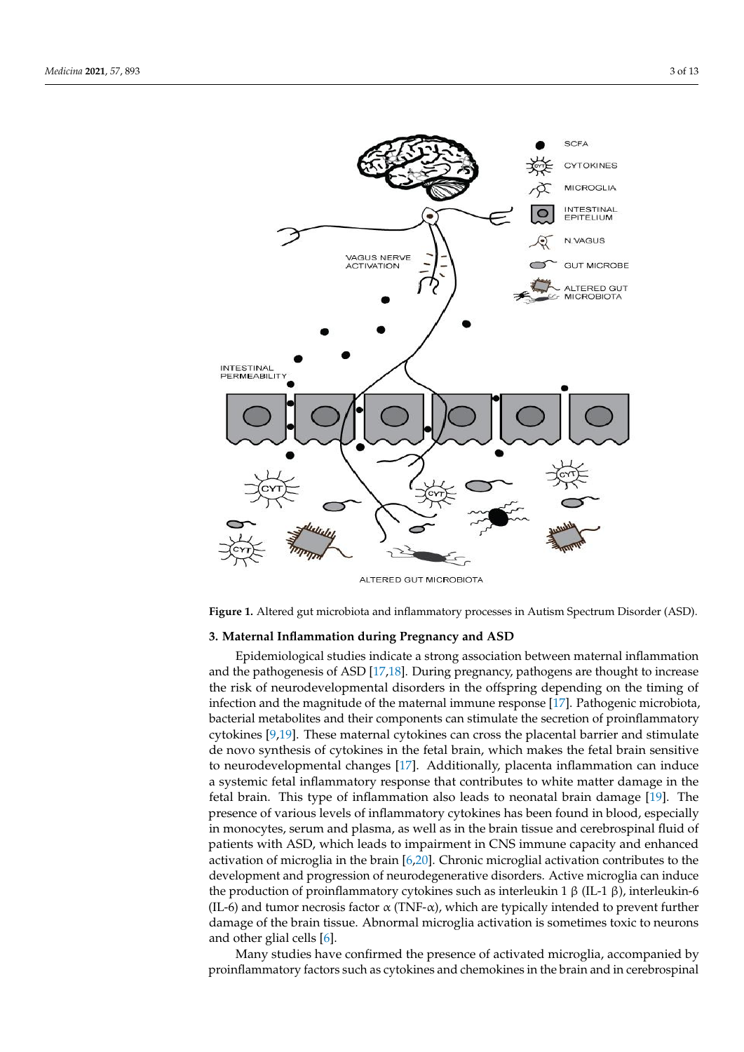<span id="page-2-0"></span>

ALTERED GUT MICROBIOTA

**Figure 1.** Altered gut microbiota and inflammatory processes in Autism Spectrum Disorder (ASD). **Figure 1.** Altered gut microbiota and inflammatory processes in Autism Spectrum Disorder (ASD).

#### $T_{\text{min}}$  microbiotation exhibits important bidirections with the immunes with the immunes with the immunes with the immunes with the immunes with the immunes with the immunes with the immunes with the immunes with the im **3. Maternal Inflammation during Pregnancy and ASD**

Epidemiological studies indicate a strong association between maternal inflammation  $\mathbb{R}^n$ the risk of neurodevelopmental disorders in the offspring depending on the timing of infection and the magnitude of the maternal immune response [\[17\]](#page-10-10). Pathogenic microbiota, cytokines [9,19]. These maternal cytokines can cross the placental barrier and stimulate de novo synthesis of cytokines in the fetal brain, which makes the fetal brain sensitive to neurodevelopmental changes [\[17\]](#page-10-10). Additionally, placenta inflammation can induce a systeme retail milanimatory response that contributes to write matter damage in the fetal brain. This type of inflammation also leads to neonatal brain damage [\[19\]](#page-10-12). The presence of various levels of inflammatory cytokines has been found in blood, especially in monocytes, serum and plasma, as well as in the brain tissue and cerebrospinal fluid of patients with ASD, which leads to impairment in CNS immune capacity and enhanced activation of microglia in the brain  $[6,20]$ . Chronic microglial activation contributes to the development and progression of neurodegenerative disorders. Active microglia can induce the production of proinflammatory cytokines such as interleukin 1 β (IL-1 β), interleukin-6 (IL-6) and tumor necrosis factor  $\alpha$  (TNF- $\alpha$ ), which are typically intended to prevent further damage of the brain tissue. Abnormal microglia activation is sometimes toxic to neurons<br>and ather alial salls [6] and the pathogenesis of ASD [\[17,](#page-10-10)[18\]](#page-10-11). During pregnancy, pathogens are thought to increase bacterial metabolites and their components can stimulate the secretion of proinflammatory a systemic fetal inflammatory response that contributes to white matter damage in the and other glial cells [\[6\]](#page-9-4).

Many studies have confirmed the presence of activated microglia, accompanied by<br>Many studies have confirmed the presence of activated microglia, accompanied by proinflammatory factors such as cytokines and chemokines in the brain and in cerebrospinal activation of microglia in the brain [6,20]. Chronic microglial activation contributes to the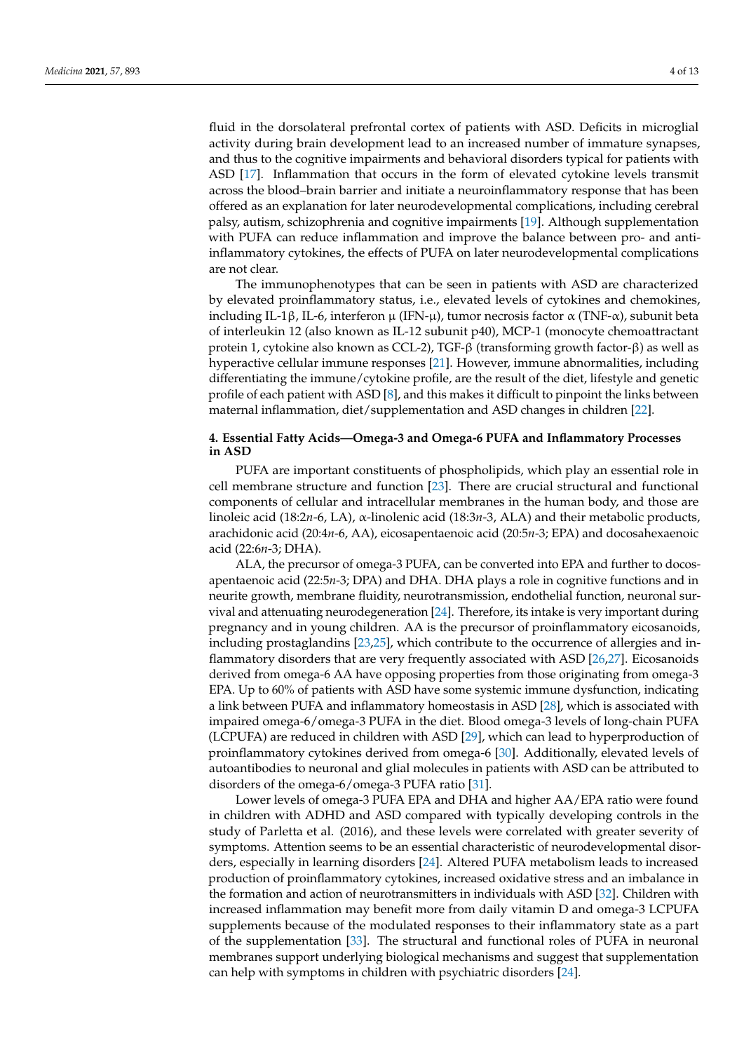fluid in the dorsolateral prefrontal cortex of patients with ASD. Deficits in microglial activity during brain development lead to an increased number of immature synapses, and thus to the cognitive impairments and behavioral disorders typical for patients with ASD [\[17\]](#page-10-10). Inflammation that occurs in the form of elevated cytokine levels transmit across the blood–brain barrier and initiate a neuroinflammatory response that has been offered as an explanation for later neurodevelopmental complications, including cerebral palsy, autism, schizophrenia and cognitive impairments [\[19\]](#page-10-12). Although supplementation with PUFA can reduce inflammation and improve the balance between pro- and antiinflammatory cytokines, the effects of PUFA on later neurodevelopmental complications are not clear.

The immunophenotypes that can be seen in patients with ASD are characterized by elevated proinflammatory status, i.e., elevated levels of cytokines and chemokines, including IL-1β, IL-6, interferon  $\mu$  (IFN- $\mu$ ), tumor necrosis factor  $\alpha$  (TNF- $\alpha$ ), subunit beta of interleukin 12 (also known as IL-12 subunit p40), MCP-1 (monocyte chemoattractant protein 1, cytokine also known as CCL-2), TGF-β (transforming growth factor-β) as well as hyperactive cellular immune responses [\[21\]](#page-10-14). However, immune abnormalities, including differentiating the immune/cytokine profile, are the result of the diet, lifestyle and genetic profile of each patient with ASD [\[8\]](#page-10-1), and this makes it difficult to pinpoint the links between maternal inflammation, diet/supplementation and ASD changes in children [\[22\]](#page-10-15).

## **4. Essential Fatty Acids—Omega-3 and Omega-6 PUFA and Inflammatory Processes in ASD**

PUFA are important constituents of phospholipids, which play an essential role in cell membrane structure and function [\[23\]](#page-10-16). There are crucial structural and functional components of cellular and intracellular membranes in the human body, and those are linoleic acid (18:2*n*-6, LA), α-linolenic acid (18:3*n*-3, ALA) and their metabolic products, arachidonic acid (20:4*n*-6, AA), eicosapentaenoic acid (20:5*n*-3; EPA) and docosahexaenoic acid (22:6*n*-3; DHA).

ALA, the precursor of omega-3 PUFA, can be converted into EPA and further to docosapentaenoic acid (22:5*n*-3; DPA) and DHA. DHA plays a role in cognitive functions and in neurite growth, membrane fluidity, neurotransmission, endothelial function, neuronal survival and attenuating neurodegeneration [\[24\]](#page-10-17). Therefore, its intake is very important during pregnancy and in young children. AA is the precursor of proinflammatory eicosanoids, including prostaglandins [\[23](#page-10-16)[,25\]](#page-10-18), which contribute to the occurrence of allergies and inflammatory disorders that are very frequently associated with ASD [\[26,](#page-10-19)[27\]](#page-10-20). Eicosanoids derived from omega-6 AA have opposing properties from those originating from omega-3 EPA. Up to 60% of patients with ASD have some systemic immune dysfunction, indicating a link between PUFA and inflammatory homeostasis in ASD [\[28\]](#page-10-21), which is associated with impaired omega-6/omega-3 PUFA in the diet. Blood omega-3 levels of long-chain PUFA (LCPUFA) are reduced in children with ASD [\[29\]](#page-10-22), which can lead to hyperproduction of proinflammatory cytokines derived from omega-6 [\[30\]](#page-10-23). Additionally, elevated levels of autoantibodies to neuronal and glial molecules in patients with ASD can be attributed to disorders of the omega-6/omega-3 PUFA ratio [\[31\]](#page-10-24).

Lower levels of omega-3 PUFA EPA and DHA and higher AA/EPA ratio were found in children with ADHD and ASD compared with typically developing controls in the study of Parletta et al. (2016), and these levels were correlated with greater severity of symptoms. Attention seems to be an essential characteristic of neurodevelopmental disorders, especially in learning disorders [\[24\]](#page-10-17). Altered PUFA metabolism leads to increased production of proinflammatory cytokines, increased oxidative stress and an imbalance in the formation and action of neurotransmitters in individuals with ASD [\[32\]](#page-10-25). Children with increased inflammation may benefit more from daily vitamin D and omega-3 LCPUFA supplements because of the modulated responses to their inflammatory state as a part of the supplementation [\[33\]](#page-10-26). The structural and functional roles of PUFA in neuronal membranes support underlying biological mechanisms and suggest that supplementation can help with symptoms in children with psychiatric disorders [\[24\]](#page-10-17).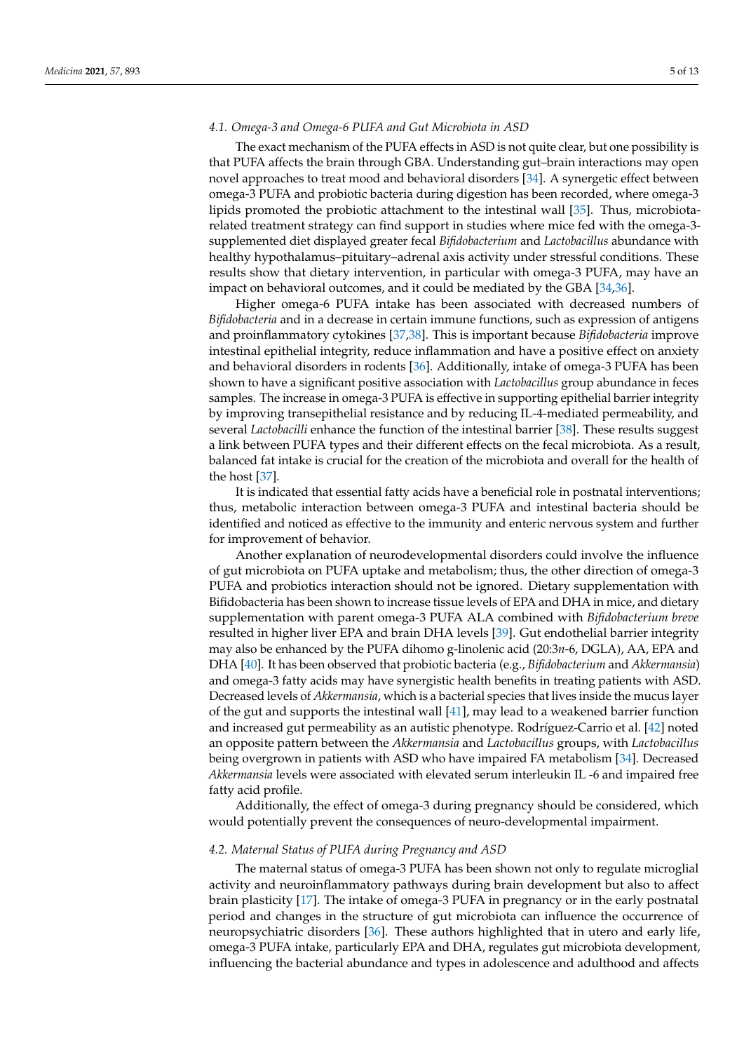### *4.1. Omega-3 and Omega-6 PUFA and Gut Microbiota in ASD*

The exact mechanism of the PUFA effects in ASD is not quite clear, but one possibility is that PUFA affects the brain through GBA. Understanding gut–brain interactions may open novel approaches to treat mood and behavioral disorders [\[34\]](#page-10-27). A synergetic effect between omega-3 PUFA and probiotic bacteria during digestion has been recorded, where omega-3 lipids promoted the probiotic attachment to the intestinal wall [\[35\]](#page-11-0). Thus, microbiotarelated treatment strategy can find support in studies where mice fed with the omega-3 supplemented diet displayed greater fecal *Bifidobacterium* and *Lactobacillus* abundance with healthy hypothalamus–pituitary–adrenal axis activity under stressful conditions. These results show that dietary intervention, in particular with omega-3 PUFA, may have an impact on behavioral outcomes, and it could be mediated by the GBA [\[34](#page-10-27)[,36\]](#page-11-1).

Higher omega-6 PUFA intake has been associated with decreased numbers of *Bifidobacteria* and in a decrease in certain immune functions, such as expression of antigens and proinflammatory cytokines [\[37,](#page-11-2)[38\]](#page-11-3). This is important because *Bifidobacteria* improve intestinal epithelial integrity, reduce inflammation and have a positive effect on anxiety and behavioral disorders in rodents [\[36\]](#page-11-1). Additionally, intake of omega-3 PUFA has been shown to have a significant positive association with *Lactobacillus* group abundance in feces samples. The increase in omega-3 PUFA is effective in supporting epithelial barrier integrity by improving transepithelial resistance and by reducing IL-4-mediated permeability, and several *Lactobacilli* enhance the function of the intestinal barrier [\[38\]](#page-11-3). These results suggest a link between PUFA types and their different effects on the fecal microbiota. As a result, balanced fat intake is crucial for the creation of the microbiota and overall for the health of the host [\[37\]](#page-11-2).

It is indicated that essential fatty acids have a beneficial role in postnatal interventions; thus, metabolic interaction between omega-3 PUFA and intestinal bacteria should be identified and noticed as effective to the immunity and enteric nervous system and further for improvement of behavior.

Another explanation of neurodevelopmental disorders could involve the influence of gut microbiota on PUFA uptake and metabolism; thus, the other direction of omega-3 PUFA and probiotics interaction should not be ignored. Dietary supplementation with Bifidobacteria has been shown to increase tissue levels of EPA and DHA in mice, and dietary supplementation with parent omega-3 PUFA ALA combined with *Bifidobacterium breve* resulted in higher liver EPA and brain DHA levels [\[39\]](#page-11-4). Gut endothelial barrier integrity may also be enhanced by the PUFA dihomo g-linolenic acid (20:3*n*-6, DGLA), AA, EPA and DHA [\[40\]](#page-11-5). It has been observed that probiotic bacteria (e.g., *Bifidobacterium* and *Akkermansia*) and omega-3 fatty acids may have synergistic health benefits in treating patients with ASD. Decreased levels of *Akkermansia*, which is a bacterial species that lives inside the mucus layer of the gut and supports the intestinal wall [\[41\]](#page-11-6), may lead to a weakened barrier function and increased gut permeability as an autistic phenotype. Rodríguez-Carrio et al. [\[42\]](#page-11-7) noted an opposite pattern between the *Akkermansia* and *Lactobacillus* groups, with *Lactobacillus* being overgrown in patients with ASD who have impaired FA metabolism [\[34\]](#page-10-27). Decreased *Akkermansia* levels were associated with elevated serum interleukin IL -6 and impaired free fatty acid profile.

Additionally, the effect of omega-3 during pregnancy should be considered, which would potentially prevent the consequences of neuro-developmental impairment.

#### *4.2. Maternal Status of PUFA during Pregnancy and ASD*

The maternal status of omega-3 PUFA has been shown not only to regulate microglial activity and neuroinflammatory pathways during brain development but also to affect brain plasticity [\[17\]](#page-10-10). The intake of omega-3 PUFA in pregnancy or in the early postnatal period and changes in the structure of gut microbiota can influence the occurrence of neuropsychiatric disorders [\[36\]](#page-11-1). These authors highlighted that in utero and early life, omega-3 PUFA intake, particularly EPA and DHA, regulates gut microbiota development, influencing the bacterial abundance and types in adolescence and adulthood and affects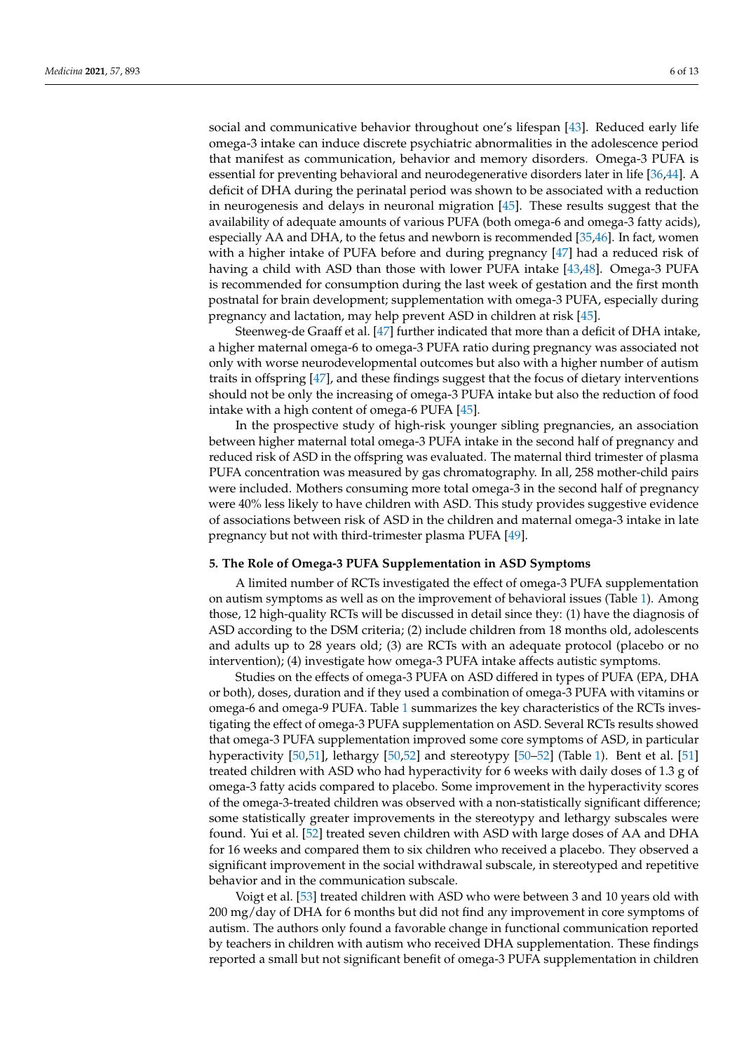social and communicative behavior throughout one's lifespan [\[43\]](#page-11-8). Reduced early life omega-3 intake can induce discrete psychiatric abnormalities in the adolescence period that manifest as communication, behavior and memory disorders. Omega-3 PUFA is essential for preventing behavioral and neurodegenerative disorders later in life [\[36,](#page-11-1)[44\]](#page-11-9). A deficit of DHA during the perinatal period was shown to be associated with a reduction in neurogenesis and delays in neuronal migration [\[45\]](#page-11-10). These results suggest that the availability of adequate amounts of various PUFA (both omega-6 and omega-3 fatty acids), especially AA and DHA, to the fetus and newborn is recommended [\[35](#page-11-0)[,46\]](#page-11-11). In fact, women with a higher intake of PUFA before and during pregnancy [\[47\]](#page-11-12) had a reduced risk of having a child with ASD than those with lower PUFA intake [\[43,](#page-11-8)[48\]](#page-11-13). Omega-3 PUFA is recommended for consumption during the last week of gestation and the first month postnatal for brain development; supplementation with omega-3 PUFA, especially during pregnancy and lactation, may help prevent ASD in children at risk [\[45\]](#page-11-10).

Steenweg-de Graaff et al. [\[47\]](#page-11-12) further indicated that more than a deficit of DHA intake, a higher maternal omega-6 to omega-3 PUFA ratio during pregnancy was associated not only with worse neurodevelopmental outcomes but also with a higher number of autism traits in offspring [\[47\]](#page-11-12), and these findings suggest that the focus of dietary interventions should not be only the increasing of omega-3 PUFA intake but also the reduction of food intake with a high content of omega-6 PUFA [\[45\]](#page-11-10).

In the prospective study of high-risk younger sibling pregnancies, an association between higher maternal total omega-3 PUFA intake in the second half of pregnancy and reduced risk of ASD in the offspring was evaluated. The maternal third trimester of plasma PUFA concentration was measured by gas chromatography. In all, 258 mother-child pairs were included. Mothers consuming more total omega-3 in the second half of pregnancy were 40% less likely to have children with ASD. This study provides suggestive evidence of associations between risk of ASD in the children and maternal omega-3 intake in late pregnancy but not with third-trimester plasma PUFA [\[49\]](#page-11-14).

#### **5. The Role of Omega-3 PUFA Supplementation in ASD Symptoms**

A limited number of RCTs investigated the effect of omega-3 PUFA supplementation on autism symptoms as well as on the improvement of behavioral issues (Table [1\)](#page-8-0). Among those, 12 high-quality RCTs will be discussed in detail since they: (1) have the diagnosis of ASD according to the DSM criteria; (2) include children from 18 months old, adolescents and adults up to 28 years old; (3) are RCTs with an adequate protocol (placebo or no intervention); (4) investigate how omega-3 PUFA intake affects autistic symptoms.

Studies on the effects of omega-3 PUFA on ASD differed in types of PUFA (EPA, DHA or both), doses, duration and if they used a combination of omega-3 PUFA with vitamins or omega-6 and omega-9 PUFA. Table [1](#page-8-0) summarizes the key characteristics of the RCTs investigating the effect of omega-3 PUFA supplementation on ASD. Several RCTs results showed that omega-3 PUFA supplementation improved some core symptoms of ASD, in particular hyperactivity [\[50,](#page-11-15)[51\]](#page-11-16), lethargy [\[50](#page-11-15)[,52\]](#page-11-17) and stereotypy [\[50–](#page-11-15)[52\]](#page-11-17) (Table [1\)](#page-8-0). Bent et al. [\[51\]](#page-11-16) treated children with ASD who had hyperactivity for 6 weeks with daily doses of 1.3 g of omega-3 fatty acids compared to placebo. Some improvement in the hyperactivity scores of the omega-3-treated children was observed with a non-statistically significant difference; some statistically greater improvements in the stereotypy and lethargy subscales were found. Yui et al. [\[52\]](#page-11-17) treated seven children with ASD with large doses of AA and DHA for 16 weeks and compared them to six children who received a placebo. They observed a significant improvement in the social withdrawal subscale, in stereotyped and repetitive behavior and in the communication subscale.

Voigt et al. [\[53\]](#page-11-18) treated children with ASD who were between 3 and 10 years old with 200 mg/day of DHA for 6 months but did not find any improvement in core symptoms of autism. The authors only found a favorable change in functional communication reported by teachers in children with autism who received DHA supplementation. These findings reported a small but not significant benefit of omega-3 PUFA supplementation in children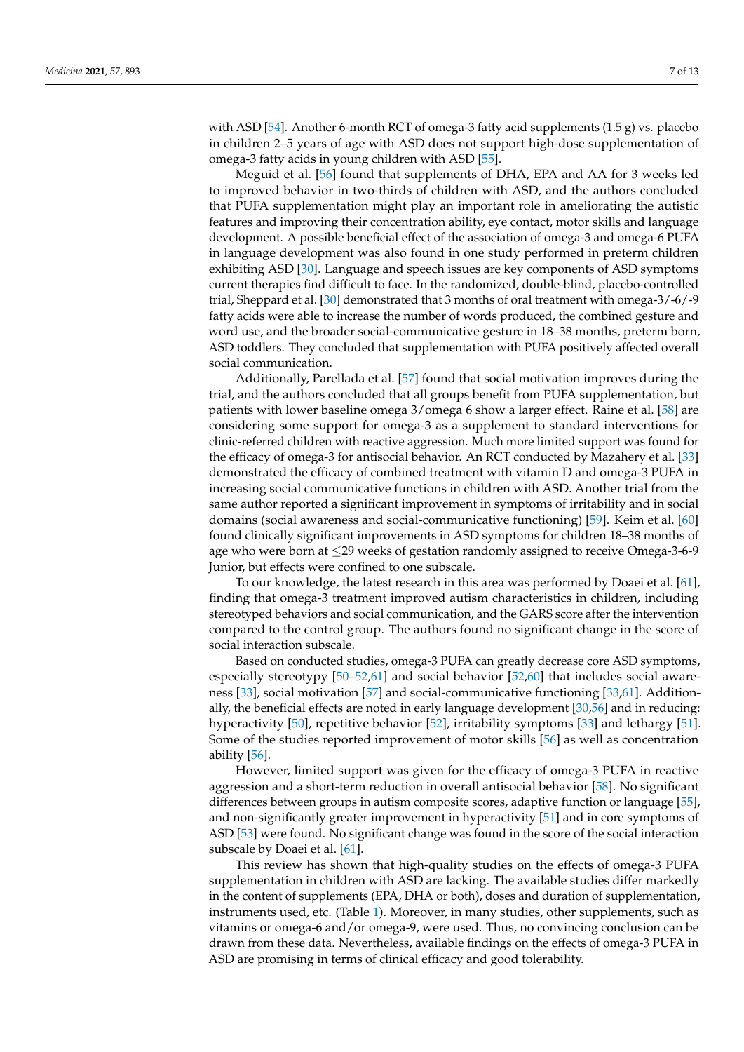with ASD [\[54\]](#page-11-19). Another 6-month RCT of omega-3 fatty acid supplements (1.5 g) vs. placebo in children 2–5 years of age with ASD does not support high-dose supplementation of omega-3 fatty acids in young children with ASD [\[55\]](#page-11-20).

Meguid et al. [\[56\]](#page-11-21) found that supplements of DHA, EPA and AA for 3 weeks led to improved behavior in two-thirds of children with ASD, and the authors concluded that PUFA supplementation might play an important role in ameliorating the autistic features and improving their concentration ability, eye contact, motor skills and language development. A possible beneficial effect of the association of omega-3 and omega-6 PUFA in language development was also found in one study performed in preterm children exhibiting ASD [\[30\]](#page-10-23). Language and speech issues are key components of ASD symptoms current therapies find difficult to face. In the randomized, double-blind, placebo-controlled trial, Sheppard et al. [\[30\]](#page-10-23) demonstrated that 3 months of oral treatment with omega-3/-6/-9 fatty acids were able to increase the number of words produced, the combined gesture and word use, and the broader social-communicative gesture in 18–38 months, preterm born, ASD toddlers. They concluded that supplementation with PUFA positively affected overall social communication.

Additionally, Parellada et al. [\[57\]](#page-11-22) found that social motivation improves during the trial, and the authors concluded that all groups benefit from PUFA supplementation, but patients with lower baseline omega 3/omega 6 show a larger effect. Raine et al. [\[58\]](#page-11-23) are considering some support for omega-3 as a supplement to standard interventions for clinic-referred children with reactive aggression. Much more limited support was found for the efficacy of omega-3 for antisocial behavior. An RCT conducted by Mazahery et al. [\[33\]](#page-10-26) demonstrated the efficacy of combined treatment with vitamin D and omega-3 PUFA in increasing social communicative functions in children with ASD. Another trial from the same author reported a significant improvement in symptoms of irritability and in social domains (social awareness and social-communicative functioning) [\[59\]](#page-12-0). Keim et al. [\[60\]](#page-12-1) found clinically significant improvements in ASD symptoms for children 18–38 months of age who were born at ≤29 weeks of gestation randomly assigned to receive Omega-3-6-9 Junior, but effects were confined to one subscale.

To our knowledge, the latest research in this area was performed by Doaei et al. [\[61\]](#page-12-2), finding that omega-3 treatment improved autism characteristics in children, including stereotyped behaviors and social communication, and the GARS score after the intervention compared to the control group. The authors found no significant change in the score of social interaction subscale.

Based on conducted studies, omega-3 PUFA can greatly decrease core ASD symptoms, especially stereotypy [\[50](#page-11-15)[–52](#page-11-17)[,61\]](#page-12-2) and social behavior [\[52,](#page-11-17)[60\]](#page-12-1) that includes social awareness [\[33\]](#page-10-26), social motivation [\[57\]](#page-11-22) and social-communicative functioning [\[33,](#page-10-26)[61\]](#page-12-2). Additionally, the beneficial effects are noted in early language development [\[30,](#page-10-23)[56\]](#page-11-21) and in reducing: hyperactivity [\[50\]](#page-11-15), repetitive behavior [\[52\]](#page-11-17), irritability symptoms [\[33\]](#page-10-26) and lethargy [\[51\]](#page-11-16). Some of the studies reported improvement of motor skills [\[56\]](#page-11-21) as well as concentration ability [\[56\]](#page-11-21).

However, limited support was given for the efficacy of omega-3 PUFA in reactive aggression and a short-term reduction in overall antisocial behavior [\[58\]](#page-11-23). No significant differences between groups in autism composite scores, adaptive function or language [\[55\]](#page-11-20), and non-significantly greater improvement in hyperactivity [\[51\]](#page-11-16) and in core symptoms of ASD [\[53\]](#page-11-18) were found. No significant change was found in the score of the social interaction subscale by Doaei et al. [\[61\]](#page-12-2).

This review has shown that high-quality studies on the effects of omega-3 PUFA supplementation in children with ASD are lacking. The available studies differ markedly in the content of supplements (EPA, DHA or both), doses and duration of supplementation, instruments used, etc. (Table [1\)](#page-8-0). Moreover, in many studies, other supplements, such as vitamins or omega-6 and/or omega-9, were used. Thus, no convincing conclusion can be drawn from these data. Nevertheless, available findings on the effects of omega-3 PUFA in ASD are promising in terms of clinical efficacy and good tolerability.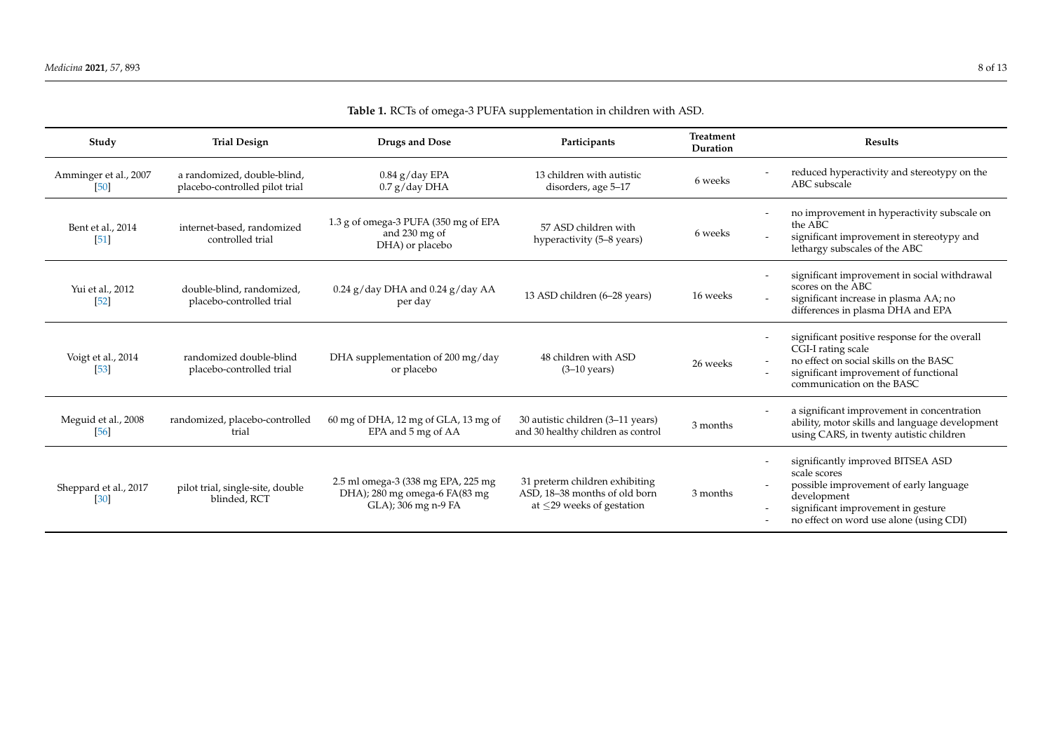| Study                         | <b>Trial Design</b>                                           | Drugs and Dose                                                                             | Participants                                                                                       | Treatment<br>Duration | <b>Results</b>                                                                                                                                                                              |
|-------------------------------|---------------------------------------------------------------|--------------------------------------------------------------------------------------------|----------------------------------------------------------------------------------------------------|-----------------------|---------------------------------------------------------------------------------------------------------------------------------------------------------------------------------------------|
| Amminger et al., 2007<br>[50] | a randomized, double-blind,<br>placebo-controlled pilot trial | $0.84$ g/day EPA<br>$0.7$ g/day DHA                                                        | 13 children with autistic<br>disorders, age 5-17                                                   | 6 weeks               | reduced hyperactivity and stereotypy on the<br>ABC subscale                                                                                                                                 |
| Bent et al., 2014<br>[51]     | internet-based, randomized<br>controlled trial                | 1.3 g of omega-3 PUFA (350 mg of EPA<br>and 230 mg of<br>DHA) or placebo                   | 57 ASD children with<br>hyperactivity (5-8 years)                                                  | 6 weeks               | no improvement in hyperactivity subscale on<br>the ABC<br>significant improvement in stereotypy and<br>lethargy subscales of the ABC                                                        |
| Yui et al., 2012<br>$[52]$    | double-blind, randomized,<br>placebo-controlled trial         | $0.24$ g/day DHA and $0.24$ g/day AA<br>per day                                            | 13 ASD children (6-28 years)                                                                       | 16 weeks              | significant improvement in social withdrawal<br>scores on the ABC<br>significant increase in plasma AA; no<br>differences in plasma DHA and EPA                                             |
| Voigt et al., 2014<br>$[53]$  | randomized double-blind<br>placebo-controlled trial           | DHA supplementation of 200 mg/day<br>or placebo                                            | 48 children with ASD<br>$(3-10 \text{ years})$                                                     | 26 weeks              | significant positive response for the overall<br>CGI-I rating scale<br>no effect on social skills on the BASC<br>significant improvement of functional<br>communication on the BASC         |
| Meguid et al., 2008<br>[56]   | randomized, placebo-controlled<br>trial                       | $60 \,\mathrm{mg}$ of DHA, 12 mg of GLA, 13 mg of<br>EPA and 5 mg of AA                    | 30 autistic children (3-11 years)<br>and 30 healthy children as control                            | 3 months              | a significant improvement in concentration<br>ability, motor skills and language development<br>using CARS, in twenty autistic children                                                     |
| Sheppard et al., 2017<br>[30] | pilot trial, single-site, double<br>blinded, RCT              | 2.5 ml omega-3 (338 mg EPA, 225 mg<br>DHA); 280 mg omega-6 FA(83 mg<br>GLA); 306 mg n-9 FA | 31 preterm children exhibiting<br>ASD, 18-38 months of old born<br>at $\leq$ 29 weeks of gestation | 3 months              | significantly improved BITSEA ASD<br>scale scores<br>possible improvement of early language<br>development<br>significant improvement in gesture<br>no effect on word use alone (using CDI) |

# **Table 1.** RCTs of omega-3 PUFA supplementation in children with ASD.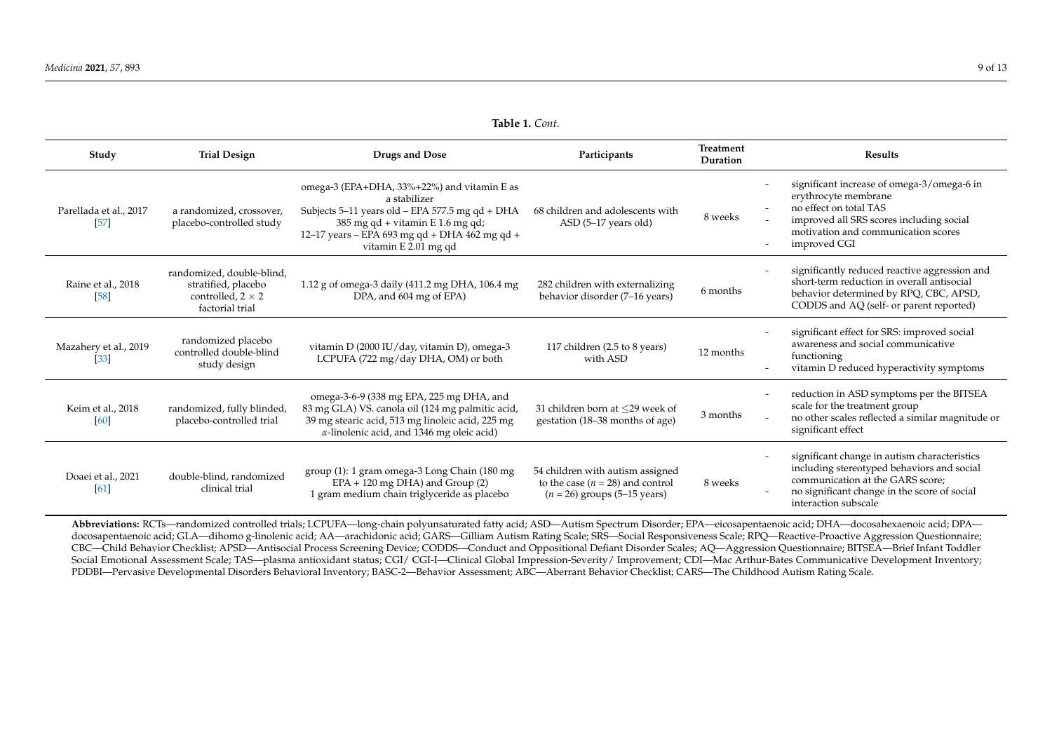| Study                            | <b>Trial Design</b>                                                                             | Drugs and Dose                                                                                                                                                                                                              | Participants                                                                                               | <b>Treatment</b><br>Duration | <b>Results</b>                                                                                                                                                                                         |
|----------------------------------|-------------------------------------------------------------------------------------------------|-----------------------------------------------------------------------------------------------------------------------------------------------------------------------------------------------------------------------------|------------------------------------------------------------------------------------------------------------|------------------------------|--------------------------------------------------------------------------------------------------------------------------------------------------------------------------------------------------------|
| Parellada et al., 2017<br>$[57]$ | a randomized, crossover,<br>placebo-controlled study                                            | omega-3 (EPA+DHA, 33%+22%) and vitamin E as<br>a stabilizer<br>Subjects 5-11 years old - EPA 577.5 mg qd + DHA<br>385 mg qd + vitamin E 1.6 mg qd;<br>12-17 years - EPA 693 mg qd + DHA 462 mg qd +<br>vitamin E 2.01 mg qd | 68 children and adolescents with<br>ASD (5-17 years old)                                                   | 8 weeks                      | significant increase of omega-3/omega-6 in<br>erythrocyte membrane<br>no effect on total TAS<br>improved all SRS scores including social<br>motivation and communication scores<br>improved CGI        |
| Raine et al., 2018<br>[58]       | randomized, double-blind,<br>stratified, placebo<br>controlled, $2 \times 2$<br>factorial trial | 1.12 g of omega-3 daily (411.2 mg DHA, 106.4 mg<br>DPA, and 604 mg of EPA)                                                                                                                                                  | 282 children with externalizing<br>behavior disorder (7-16 years)                                          | 6 months                     | significantly reduced reactive aggression and<br>short-term reduction in overall antisocial<br>behavior determined by RPQ, CBC, APSD,<br>CODDS and AQ (self- or parent reported)                       |
| Mazahery et al., 2019<br>[33]    | randomized placebo<br>controlled double-blind<br>study design                                   | vitamin D (2000 IU/day, vitamin D), omega-3<br>LCPUFA (722 mg/day DHA, OM) or both                                                                                                                                          | 117 children (2.5 to 8 years)<br>with ASD                                                                  | 12 months                    | significant effect for SRS: improved social<br>awareness and social communicative<br>functioning<br>vitamin D reduced hyperactivity symptoms                                                           |
| Keim et al., 2018<br>[60]        | randomized, fully blinded,<br>placebo-controlled trial                                          | omega-3-6-9 (338 mg EPA, 225 mg DHA, and<br>83 mg GLA) VS. canola oil (124 mg palmitic acid,<br>39 mg stearic acid, 513 mg linoleic acid, 225 mg<br>$\alpha$ -linolenic acid, and 1346 mg oleic acid)                       | 31 children born at <29 week of<br>gestation (18–38 months of age)                                         | 3 months                     | reduction in ASD symptoms per the BITSEA<br>scale for the treatment group<br>no other scales reflected a similar magnitude or<br>significant effect                                                    |
| Doaei et al., 2021<br>[61]       | double-blind, randomized<br>clinical trial                                                      | group (1): 1 gram omega-3 Long Chain (180 mg<br>$EPA + 120$ mg DHA) and Group (2)<br>1 gram medium chain triglyceride as placebo                                                                                            | 54 children with autism assigned<br>to the case ( $n = 28$ ) and control<br>$(n = 26)$ groups (5–15 years) | 8 weeks                      | significant change in autism characteristics<br>including stereotyped behaviors and social<br>communication at the GARS score;<br>no significant change in the score of social<br>interaction subscale |

<span id="page-8-0"></span>**Abbreviations:** RCTs—randomized controlled trials; LCPUFA—long-chain polyunsaturated fatty acid; ASD—Autism Spectrum Disorder; EPA—eicosapentaenoic acid; DHA—docosahexaenoic acid; DPA docosapentaenoic acid; GLA—dihomo g-linolenic acid; AA—arachidonic acid; GARS—Gilliam Autism Rating Scale; SRS—Social Responsiveness Scale; RPQ—Reactive-Proactive Aggression Questionnaire; CBC—Child Behavior Checklist; APSD—Antisocial Process Screening Device; CODDS—Conduct and Oppositional Defiant Disorder Scales; AQ—Aggression Questionnaire; BITSEA—Brief Infant Toddler Social Emotional Assessment Scale; TAS—plasma antioxidant status; CGI/ CGI-I—Clinical Global Impression-Severity/ Improvement; CDI—Mac Arthur-Bates Communicative Development Inventory; PDDBI—Pervasive Developmental Disorders Behavioral Inventory; BASC-2—Behavior Assessment; ABC—Aberrant Behavior Checklist; CARS—The Childhood Autism Rating Scale.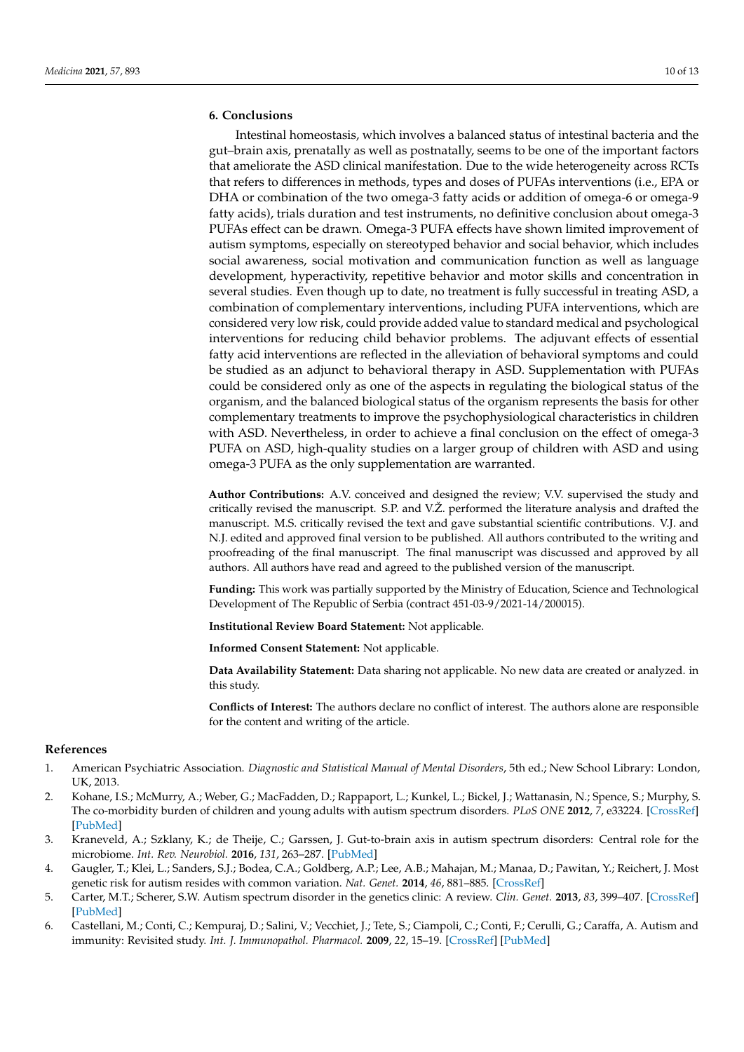# **6. Conclusions**

Intestinal homeostasis, which involves a balanced status of intestinal bacteria and the gut–brain axis, prenatally as well as postnatally, seems to be one of the important factors that ameliorate the ASD clinical manifestation. Due to the wide heterogeneity across RCTs that refers to differences in methods, types and doses of PUFAs interventions (i.e., EPA or DHA or combination of the two omega-3 fatty acids or addition of omega-6 or omega-9 fatty acids), trials duration and test instruments, no definitive conclusion about omega-3 PUFAs effect can be drawn. Omega-3 PUFA effects have shown limited improvement of autism symptoms, especially on stereotyped behavior and social behavior, which includes social awareness, social motivation and communication function as well as language development, hyperactivity, repetitive behavior and motor skills and concentration in several studies. Even though up to date, no treatment is fully successful in treating ASD, a combination of complementary interventions, including PUFA interventions, which are considered very low risk, could provide added value to standard medical and psychological interventions for reducing child behavior problems. The adjuvant effects of essential fatty acid interventions are reflected in the alleviation of behavioral symptoms and could be studied as an adjunct to behavioral therapy in ASD. Supplementation with PUFAs could be considered only as one of the aspects in regulating the biological status of the organism, and the balanced biological status of the organism represents the basis for other complementary treatments to improve the psychophysiological characteristics in children with ASD. Nevertheless, in order to achieve a final conclusion on the effect of omega-3 PUFA on ASD, high-quality studies on a larger group of children with ASD and using omega-3 PUFA as the only supplementation are warranted.

**Author Contributions:** A.V. conceived and designed the review; V.V. supervised the study and critically revised the manuscript. S.P. and V.Ž. performed the literature analysis and drafted the manuscript. M.S. critically revised the text and gave substantial scientific contributions. V.J. and N.J. edited and approved final version to be published. All authors contributed to the writing and proofreading of the final manuscript. The final manuscript was discussed and approved by all authors. All authors have read and agreed to the published version of the manuscript.

**Funding:** This work was partially supported by the Ministry of Education, Science and Technological Development of The Republic of Serbia (contract 451-03-9/2021-14/200015).

**Institutional Review Board Statement:** Not applicable.

**Informed Consent Statement:** Not applicable.

**Data Availability Statement:** Data sharing not applicable. No new data are created or analyzed. in this study.

**Conflicts of Interest:** The authors declare no conflict of interest. The authors alone are responsible for the content and writing of the article.

#### **References**

- <span id="page-9-0"></span>1. American Psychiatric Association. *Diagnostic and Statistical Manual of Mental Disorders*, 5th ed.; New School Library: London, UK, 2013.
- 2. Kohane, I.S.; McMurry, A.; Weber, G.; MacFadden, D.; Rappaport, L.; Kunkel, L.; Bickel, J.; Wattanasin, N.; Spence, S.; Murphy, S. The co-morbidity burden of children and young adults with autism spectrum disorders. *PLoS ONE* **2012**, *7*, e33224. [\[CrossRef\]](http://doi.org/10.1371/journal.pone.0033224) [\[PubMed\]](http://www.ncbi.nlm.nih.gov/pubmed/22511918)
- <span id="page-9-1"></span>3. Kraneveld, A.; Szklany, K.; de Theije, C.; Garssen, J. Gut-to-brain axis in autism spectrum disorders: Central role for the microbiome. *Int. Rev. Neurobiol.* **2016**, *131*, 263–287. [\[PubMed\]](http://www.ncbi.nlm.nih.gov/pubmed/27793223)
- <span id="page-9-2"></span>4. Gaugler, T.; Klei, L.; Sanders, S.J.; Bodea, C.A.; Goldberg, A.P.; Lee, A.B.; Mahajan, M.; Manaa, D.; Pawitan, Y.; Reichert, J. Most genetic risk for autism resides with common variation. *Nat. Genet.* **2014**, *46*, 881–885. [\[CrossRef\]](http://doi.org/10.1038/ng.3039)
- <span id="page-9-3"></span>5. Carter, M.T.; Scherer, S.W. Autism spectrum disorder in the genetics clinic: A review. *Clin. Genet.* **2013**, *83*, 399–407. [\[CrossRef\]](http://doi.org/10.1111/cge.12101) [\[PubMed\]](http://www.ncbi.nlm.nih.gov/pubmed/23425232)
- <span id="page-9-4"></span>6. Castellani, M.; Conti, C.; Kempuraj, D.; Salini, V.; Vecchiet, J.; Tete, S.; Ciampoli, C.; Conti, F.; Cerulli, G.; Caraffa, A. Autism and immunity: Revisited study. *Int. J. Immunopathol. Pharmacol.* **2009**, *22*, 15–19. [\[CrossRef\]](http://doi.org/10.1177/039463200902200103) [\[PubMed\]](http://www.ncbi.nlm.nih.gov/pubmed/19309548)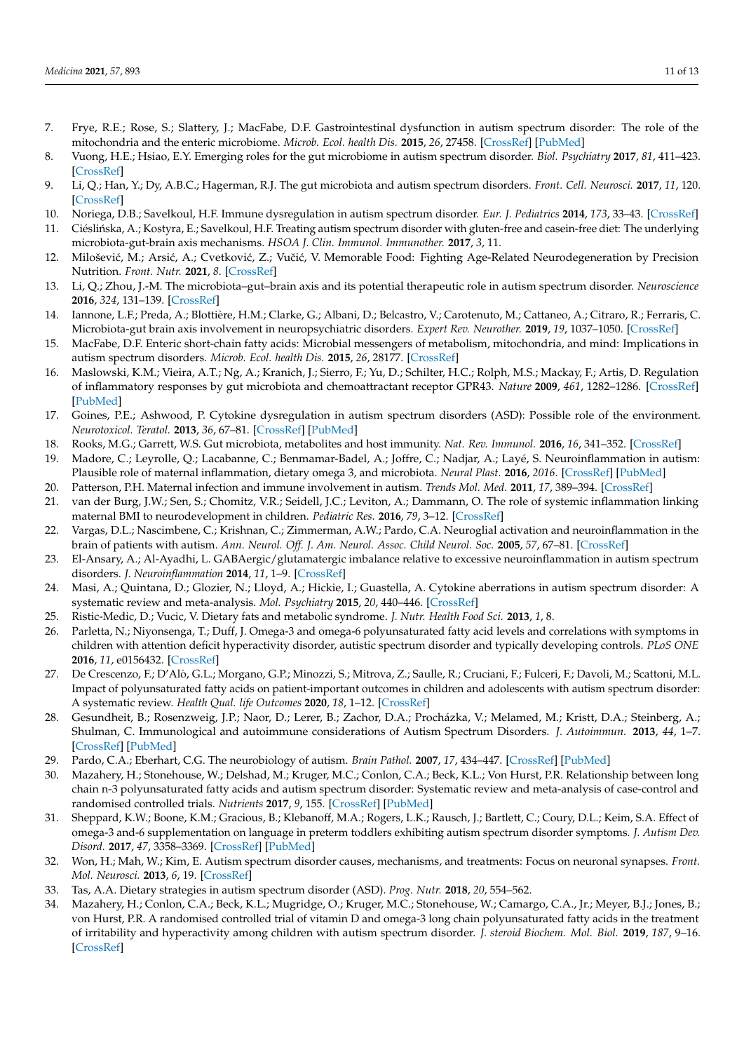- <span id="page-10-0"></span>7. Frye, R.E.; Rose, S.; Slattery, J.; MacFabe, D.F. Gastrointestinal dysfunction in autism spectrum disorder: The role of the mitochondria and the enteric microbiome. *Microb. Ecol. health Dis.* **2015**, *26*, 27458. [\[CrossRef\]](http://doi.org/10.3402/mehd.v26.27458) [\[PubMed\]](http://www.ncbi.nlm.nih.gov/pubmed/25956238)
- <span id="page-10-1"></span>8. Vuong, H.E.; Hsiao, E.Y. Emerging roles for the gut microbiome in autism spectrum disorder. *Biol. Psychiatry* **2017**, *81*, 411–423. [\[CrossRef\]](http://doi.org/10.1016/j.biopsych.2016.08.024)
- <span id="page-10-2"></span>9. Li, Q.; Han, Y.; Dy, A.B.C.; Hagerman, R.J. The gut microbiota and autism spectrum disorders. *Front. Cell. Neurosci.* **2017**, *11*, 120. [\[CrossRef\]](http://doi.org/10.3389/fncel.2017.00120)
- <span id="page-10-3"></span>10. Noriega, D.B.; Savelkoul, H.F. Immune dysregulation in autism spectrum disorder. *Eur. J. Pediatrics* **2014**, *173*, 33–43. [\[CrossRef\]](http://doi.org/10.1007/s00431-013-2183-4)
- <span id="page-10-4"></span>11. Ciéslińska, A.; Kostyra, E.; Savelkoul, H.F. Treating autism spectrum disorder with gluten-free and casein-free diet: The underlying microbiota-gut-brain axis mechanisms. *HSOA J. Clin. Immunol. Immunother.* **2017**, *3*, 11.
- <span id="page-10-5"></span>12. Milošević, M.; Arsić, A.; Cvetković, Z.; Vučić, V. Memorable Food: Fighting Age-Related Neurodegeneration by Precision Nutrition. *Front. Nutr.* **2021**, *8*. [\[CrossRef\]](http://doi.org/10.3389/fnut.2021.688086)
- <span id="page-10-6"></span>13. Li, Q.; Zhou, J.-M. The microbiota–gut–brain axis and its potential therapeutic role in autism spectrum disorder. *Neuroscience* **2016**, *324*, 131–139. [\[CrossRef\]](http://doi.org/10.1016/j.neuroscience.2016.03.013)
- <span id="page-10-7"></span>14. Iannone, L.F.; Preda, A.; Blottière, H.M.; Clarke, G.; Albani, D.; Belcastro, V.; Carotenuto, M.; Cattaneo, A.; Citraro, R.; Ferraris, C. Microbiota-gut brain axis involvement in neuropsychiatric disorders. *Expert Rev. Neurother.* **2019**, *19*, 1037–1050. [\[CrossRef\]](http://doi.org/10.1080/14737175.2019.1638763)
- <span id="page-10-8"></span>15. MacFabe, D.F. Enteric short-chain fatty acids: Microbial messengers of metabolism, mitochondria, and mind: Implications in autism spectrum disorders. *Microb. Ecol. health Dis.* **2015**, *26*, 28177. [\[CrossRef\]](http://doi.org/10.3402/mehd.v26.28177)
- <span id="page-10-9"></span>16. Maslowski, K.M.; Vieira, A.T.; Ng, A.; Kranich, J.; Sierro, F.; Yu, D.; Schilter, H.C.; Rolph, M.S.; Mackay, F.; Artis, D. Regulation of inflammatory responses by gut microbiota and chemoattractant receptor GPR43. *Nature* **2009**, *461*, 1282–1286. [\[CrossRef\]](http://doi.org/10.1038/nature08530) [\[PubMed\]](http://www.ncbi.nlm.nih.gov/pubmed/19865172)
- <span id="page-10-10"></span>17. Goines, P.E.; Ashwood, P. Cytokine dysregulation in autism spectrum disorders (ASD): Possible role of the environment. *Neurotoxicol. Teratol.* **2013**, *36*, 67–81. [\[CrossRef\]](http://doi.org/10.1016/j.ntt.2012.07.006) [\[PubMed\]](http://www.ncbi.nlm.nih.gov/pubmed/22918031)
- <span id="page-10-11"></span>18. Rooks, M.G.; Garrett, W.S. Gut microbiota, metabolites and host immunity. *Nat. Rev. Immunol.* **2016**, *16*, 341–352. [\[CrossRef\]](http://doi.org/10.1038/nri.2016.42)
- <span id="page-10-28"></span><span id="page-10-12"></span>19. Madore, C.; Leyrolle, Q.; Lacabanne, C.; Benmamar-Badel, A.; Joffre, C.; Nadjar, A.; Layé, S. Neuroinflammation in autism: Plausible role of maternal inflammation, dietary omega 3, and microbiota. *Neural Plast.* **2016**, *2016*. [\[CrossRef\]](http://doi.org/10.1155/2016/3597209) [\[PubMed\]](http://www.ncbi.nlm.nih.gov/pubmed/27840741)
- <span id="page-10-13"></span>20. Patterson, P.H. Maternal infection and immune involvement in autism. *Trends Mol. Med.* **2011**, *17*, 389–394. [\[CrossRef\]](http://doi.org/10.1016/j.molmed.2011.03.001)
- <span id="page-10-14"></span>21. van der Burg, J.W.; Sen, S.; Chomitz, V.R.; Seidell, J.C.; Leviton, A.; Dammann, O. The role of systemic inflammation linking maternal BMI to neurodevelopment in children. *Pediatric Res.* **2016**, *79*, 3–12. [\[CrossRef\]](http://doi.org/10.1038/pr.2015.179)
- <span id="page-10-15"></span>22. Vargas, D.L.; Nascimbene, C.; Krishnan, C.; Zimmerman, A.W.; Pardo, C.A. Neuroglial activation and neuroinflammation in the brain of patients with autism. *Ann. Neurol. Off. J. Am. Neurol. Assoc. Child Neurol. Soc.* **2005**, *57*, 67–81. [\[CrossRef\]](http://doi.org/10.1002/ana.20315)
- <span id="page-10-16"></span>23. El-Ansary, A.; Al-Ayadhi, L. GABAergic/glutamatergic imbalance relative to excessive neuroinflammation in autism spectrum disorders. *J. Neuroinflammation* **2014**, *11*, 1–9. [\[CrossRef\]](http://doi.org/10.1186/s12974-014-0189-0)
- <span id="page-10-29"></span><span id="page-10-17"></span>24. Masi, A.; Quintana, D.; Glozier, N.; Lloyd, A.; Hickie, I.; Guastella, A. Cytokine aberrations in autism spectrum disorder: A systematic review and meta-analysis. *Mol. Psychiatry* **2015**, *20*, 440–446. [\[CrossRef\]](http://doi.org/10.1038/mp.2014.59)
- <span id="page-10-18"></span>25. Ristic-Medic, D.; Vucic, V. Dietary fats and metabolic syndrome. *J. Nutr. Health Food Sci.* **2013**, *1*, 8.
- <span id="page-10-19"></span>26. Parletta, N.; Niyonsenga, T.; Duff, J. Omega-3 and omega-6 polyunsaturated fatty acid levels and correlations with symptoms in children with attention deficit hyperactivity disorder, autistic spectrum disorder and typically developing controls. *PLoS ONE* **2016**, *11*, e0156432. [\[CrossRef\]](http://doi.org/10.1371/journal.pone.0156432)
- <span id="page-10-20"></span>27. De Crescenzo, F.; D'Alò, G.L.; Morgano, G.P.; Minozzi, S.; Mitrova, Z.; Saulle, R.; Cruciani, F.; Fulceri, F.; Davoli, M.; Scattoni, M.L. Impact of polyunsaturated fatty acids on patient-important outcomes in children and adolescents with autism spectrum disorder: A systematic review. *Health Qual. life Outcomes* **2020**, *18*, 1–12. [\[CrossRef\]](http://doi.org/10.1186/s12955-020-01284-5)
- <span id="page-10-21"></span>28. Gesundheit, B.; Rosenzweig, J.P.; Naor, D.; Lerer, B.; Zachor, D.A.; Procházka, V.; Melamed, M.; Kristt, D.A.; Steinberg, A.; Shulman, C. Immunological and autoimmune considerations of Autism Spectrum Disorders. *J. Autoimmun.* **2013**, *44*, 1–7. [\[CrossRef\]](http://doi.org/10.1016/j.jaut.2013.05.005) [\[PubMed\]](http://www.ncbi.nlm.nih.gov/pubmed/23867105)
- <span id="page-10-22"></span>29. Pardo, C.A.; Eberhart, C.G. The neurobiology of autism. *Brain Pathol.* **2007**, *17*, 434–447. [\[CrossRef\]](http://doi.org/10.1111/j.1750-3639.2007.00102.x) [\[PubMed\]](http://www.ncbi.nlm.nih.gov/pubmed/17919129)
- <span id="page-10-23"></span>30. Mazahery, H.; Stonehouse, W.; Delshad, M.; Kruger, M.C.; Conlon, C.A.; Beck, K.L.; Von Hurst, P.R. Relationship between long chain n-3 polyunsaturated fatty acids and autism spectrum disorder: Systematic review and meta-analysis of case-control and randomised controlled trials. *Nutrients* **2017**, *9*, 155. [\[CrossRef\]](http://doi.org/10.3390/nu9020155) [\[PubMed\]](http://www.ncbi.nlm.nih.gov/pubmed/28218722)
- <span id="page-10-24"></span>31. Sheppard, K.W.; Boone, K.M.; Gracious, B.; Klebanoff, M.A.; Rogers, L.K.; Rausch, J.; Bartlett, C.; Coury, D.L.; Keim, S.A. Effect of omega-3 and-6 supplementation on language in preterm toddlers exhibiting autism spectrum disorder symptoms. *J. Autism Dev. Disord.* **2017**, *47*, 3358–3369. [\[CrossRef\]](http://doi.org/10.1007/s10803-017-3249-3) [\[PubMed\]](http://www.ncbi.nlm.nih.gov/pubmed/28748334)
- <span id="page-10-25"></span>32. Won, H.; Mah, W.; Kim, E. Autism spectrum disorder causes, mechanisms, and treatments: Focus on neuronal synapses. *Front. Mol. Neurosci.* **2013**, *6*, 19. [\[CrossRef\]](http://doi.org/10.3389/fnmol.2013.00019)
- <span id="page-10-26"></span>33. Tas, A.A. Dietary strategies in autism spectrum disorder (ASD). *Prog. Nutr.* **2018**, *20*, 554–562.
- <span id="page-10-27"></span>34. Mazahery, H.; Conlon, C.A.; Beck, K.L.; Mugridge, O.; Kruger, M.C.; Stonehouse, W.; Camargo, C.A., Jr.; Meyer, B.J.; Jones, B.; von Hurst, P.R. A randomised controlled trial of vitamin D and omega-3 long chain polyunsaturated fatty acids in the treatment of irritability and hyperactivity among children with autism spectrum disorder. *J. steroid Biochem. Mol. Biol.* **2019**, *187*, 9–16. [\[CrossRef\]](http://doi.org/10.1016/j.jsbmb.2018.10.017)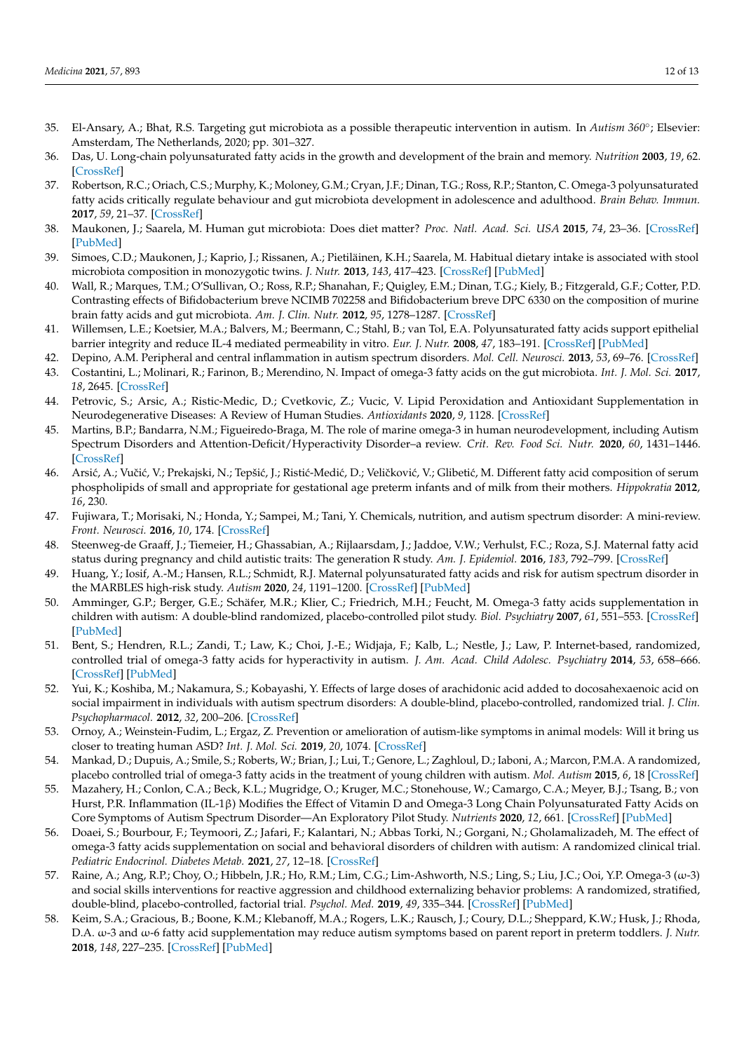- <span id="page-11-0"></span>35. El-Ansary, A.; Bhat, R.S. Targeting gut microbiota as a possible therapeutic intervention in autism. In *Autism 360*◦ ; Elsevier: Amsterdam, The Netherlands, 2020; pp. 301–327.
- <span id="page-11-1"></span>36. Das, U. Long-chain polyunsaturated fatty acids in the growth and development of the brain and memory. *Nutrition* **2003**, *19*, 62. [\[CrossRef\]](http://doi.org/10.1016/S0899-9007(02)00852-3)
- <span id="page-11-2"></span>37. Robertson, R.C.; Oriach, C.S.; Murphy, K.; Moloney, G.M.; Cryan, J.F.; Dinan, T.G.; Ross, R.P.; Stanton, C. Omega-3 polyunsaturated fatty acids critically regulate behaviour and gut microbiota development in adolescence and adulthood. *Brain Behav. Immun.* **2017**, *59*, 21–37. [\[CrossRef\]](http://doi.org/10.1016/j.bbi.2016.07.145)
- <span id="page-11-3"></span>38. Maukonen, J.; Saarela, M. Human gut microbiota: Does diet matter? *Proc. Natl. Acad. Sci. USA* **2015**, *74*, 23–36. [\[CrossRef\]](http://doi.org/10.1017/S0029665114000688) [\[PubMed\]](http://www.ncbi.nlm.nih.gov/pubmed/25156389)
- <span id="page-11-4"></span>39. Simoes, C.D.; Maukonen, J.; Kaprio, J.; Rissanen, A.; Pietiläinen, K.H.; Saarela, M. Habitual dietary intake is associated with stool microbiota composition in monozygotic twins. *J. Nutr.* **2013**, *143*, 417–423. [\[CrossRef\]](http://doi.org/10.3945/jn.112.166322) [\[PubMed\]](http://www.ncbi.nlm.nih.gov/pubmed/23343669)
- <span id="page-11-24"></span><span id="page-11-5"></span>40. Wall, R.; Marques, T.M.; O'Sullivan, O.; Ross, R.P.; Shanahan, F.; Quigley, E.M.; Dinan, T.G.; Kiely, B.; Fitzgerald, G.F.; Cotter, P.D. Contrasting effects of Bifidobacterium breve NCIMB 702258 and Bifidobacterium breve DPC 6330 on the composition of murine brain fatty acids and gut microbiota. *Am. J. Clin. Nutr.* **2012**, *95*, 1278–1287. [\[CrossRef\]](http://doi.org/10.3945/ajcn.111.026435)
- <span id="page-11-25"></span><span id="page-11-6"></span>41. Willemsen, L.E.; Koetsier, M.A.; Balvers, M.; Beermann, C.; Stahl, B.; van Tol, E.A. Polyunsaturated fatty acids support epithelial barrier integrity and reduce IL-4 mediated permeability in vitro. *Eur. J. Nutr.* **2008**, *47*, 183–191. [\[CrossRef\]](http://doi.org/10.1007/s00394-008-0712-0) [\[PubMed\]](http://www.ncbi.nlm.nih.gov/pubmed/18497998)
- <span id="page-11-7"></span>42. Depino, A.M. Peripheral and central inflammation in autism spectrum disorders. *Mol. Cell. Neurosci.* **2013**, *53*, 69–76. [\[CrossRef\]](http://doi.org/10.1016/j.mcn.2012.10.003)
- <span id="page-11-26"></span><span id="page-11-8"></span>43. Costantini, L.; Molinari, R.; Farinon, B.; Merendino, N. Impact of omega-3 fatty acids on the gut microbiota. *Int. J. Mol. Sci.* **2017**, *18*, 2645. [\[CrossRef\]](http://doi.org/10.3390/ijms18122645)
- <span id="page-11-9"></span>44. Petrovic, S.; Arsic, A.; Ristic-Medic, D.; Cvetkovic, Z.; Vucic, V. Lipid Peroxidation and Antioxidant Supplementation in Neurodegenerative Diseases: A Review of Human Studies. *Antioxidants* **2020**, *9*, 1128. [\[CrossRef\]](http://doi.org/10.3390/antiox9111128)
- <span id="page-11-27"></span><span id="page-11-10"></span>45. Martins, B.P.; Bandarra, N.M.; Figueiredo-Braga, M. The role of marine omega-3 in human neurodevelopment, including Autism Spectrum Disorders and Attention-Deficit/Hyperactivity Disorder–a review. *Crit. Rev. Food Sci. Nutr.* **2020**, *60*, 1431–1446. [\[CrossRef\]](http://doi.org/10.1080/10408398.2019.1573800)
- <span id="page-11-11"></span>46. Arsić, A.; Vučić, V.; Prekajski, N.; Tepšić, J.; Ristić-Medić, D.; Veličković, V.; Glibetić, M. Different fatty acid composition of serum phospholipids of small and appropriate for gestational age preterm infants and of milk from their mothers. *Hippokratia* **2012**, *16*, 230.
- <span id="page-11-28"></span><span id="page-11-12"></span>47. Fujiwara, T.; Morisaki, N.; Honda, Y.; Sampei, M.; Tani, Y. Chemicals, nutrition, and autism spectrum disorder: A mini-review. *Front. Neurosci.* **2016**, *10*, 174. [\[CrossRef\]](http://doi.org/10.3389/fnins.2016.00174)
- <span id="page-11-13"></span>48. Steenweg-de Graaff, J.; Tiemeier, H.; Ghassabian, A.; Rijlaarsdam, J.; Jaddoe, V.W.; Verhulst, F.C.; Roza, S.J. Maternal fatty acid status during pregnancy and child autistic traits: The generation R study. *Am. J. Epidemiol.* **2016**, *183*, 792–799. [\[CrossRef\]](http://doi.org/10.1093/aje/kwv263)
- <span id="page-11-29"></span><span id="page-11-14"></span>49. Huang, Y.; Iosif, A.-M.; Hansen, R.L.; Schmidt, R.J. Maternal polyunsaturated fatty acids and risk for autism spectrum disorder in the MARBLES high-risk study. *Autism* **2020**, *24*, 1191–1200. [\[CrossRef\]](http://doi.org/10.1177/1362361319877792) [\[PubMed\]](http://www.ncbi.nlm.nih.gov/pubmed/31958995)
- <span id="page-11-30"></span><span id="page-11-15"></span>50. Amminger, G.P.; Berger, G.E.; Schäfer, M.R.; Klier, C.; Friedrich, M.H.; Feucht, M. Omega-3 fatty acids supplementation in children with autism: A double-blind randomized, placebo-controlled pilot study. *Biol. Psychiatry* **2007**, *61*, 551–553. [\[CrossRef\]](http://doi.org/10.1016/j.biopsych.2006.05.007) [\[PubMed\]](http://www.ncbi.nlm.nih.gov/pubmed/16920077)
- <span id="page-11-16"></span>51. Bent, S.; Hendren, R.L.; Zandi, T.; Law, K.; Choi, J.-E.; Widjaja, F.; Kalb, L.; Nestle, J.; Law, P. Internet-based, randomized, controlled trial of omega-3 fatty acids for hyperactivity in autism. *J. Am. Acad. Child Adolesc. Psychiatry* **2014**, *53*, 658–666. [\[CrossRef\]](http://doi.org/10.1016/j.jaac.2014.01.018) [\[PubMed\]](http://www.ncbi.nlm.nih.gov/pubmed/24839884)
- <span id="page-11-17"></span>52. Yui, K.; Koshiba, M.; Nakamura, S.; Kobayashi, Y. Effects of large doses of arachidonic acid added to docosahexaenoic acid on social impairment in individuals with autism spectrum disorders: A double-blind, placebo-controlled, randomized trial. *J. Clin. Psychopharmacol.* **2012**, *32*, 200–206. [\[CrossRef\]](http://doi.org/10.1097/JCP.0b013e3182485791)
- <span id="page-11-18"></span>53. Ornoy, A.; Weinstein-Fudim, L.; Ergaz, Z. Prevention or amelioration of autism-like symptoms in animal models: Will it bring us closer to treating human ASD? *Int. J. Mol. Sci.* **2019**, *20*, 1074. [\[CrossRef\]](http://doi.org/10.3390/ijms20051074)
- <span id="page-11-19"></span>54. Mankad, D.; Dupuis, A.; Smile, S.; Roberts, W.; Brian, J.; Lui, T.; Genore, L.; Zaghloul, D.; Iaboni, A.; Marcon, P.M.A. A randomized, placebo controlled trial of omega-3 fatty acids in the treatment of young children with autism. *Mol. Autism* **2015**, *6*, 18 [\[CrossRef\]](http://doi.org/10.1186/s13229-015-0010-7)
- <span id="page-11-20"></span>55. Mazahery, H.; Conlon, C.A.; Beck, K.L.; Mugridge, O.; Kruger, M.C.; Stonehouse, W.; Camargo, C.A.; Meyer, B.J.; Tsang, B.; von Hurst, P.R. Inflammation (IL-1β) Modifies the Effect of Vitamin D and Omega-3 Long Chain Polyunsaturated Fatty Acids on Core Symptoms of Autism Spectrum Disorder—An Exploratory Pilot Study. *Nutrients* **2020**, *12*, 661. [\[CrossRef\]](http://doi.org/10.3390/nu12030661) [\[PubMed\]](http://www.ncbi.nlm.nih.gov/pubmed/32121236)
- <span id="page-11-21"></span>56. Doaei, S.; Bourbour, F.; Teymoori, Z.; Jafari, F.; Kalantari, N.; Abbas Torki, N.; Gorgani, N.; Gholamalizadeh, M. The effect of omega-3 fatty acids supplementation on social and behavioral disorders of children with autism: A randomized clinical trial. *Pediatric Endocrinol. Diabetes Metab.* **2021**, *27*, 12–18. [\[CrossRef\]](http://doi.org/10.5114/pedm.2020.101806)
- <span id="page-11-22"></span>57. Raine, A.; Ang, R.P.; Choy, O.; Hibbeln, J.R.; Ho, R.M.; Lim, C.G.; Lim-Ashworth, N.S.; Ling, S.; Liu, J.C.; Ooi, Y.P. Omega-3 (ω-3) and social skills interventions for reactive aggression and childhood externalizing behavior problems: A randomized, stratified, double-blind, placebo-controlled, factorial trial. *Psychol. Med.* **2019**, *49*, 335–344. [\[CrossRef\]](http://doi.org/10.1017/S0033291718000983) [\[PubMed\]](http://www.ncbi.nlm.nih.gov/pubmed/29743128)
- <span id="page-11-23"></span>58. Keim, S.A.; Gracious, B.; Boone, K.M.; Klebanoff, M.A.; Rogers, L.K.; Rausch, J.; Coury, D.L.; Sheppard, K.W.; Husk, J.; Rhoda, D.A. ω-3 and ω-6 fatty acid supplementation may reduce autism symptoms based on parent report in preterm toddlers. *J. Nutr.* **2018**, *148*, 227–235. [\[CrossRef\]](http://doi.org/10.1093/jn/nxx047) [\[PubMed\]](http://www.ncbi.nlm.nih.gov/pubmed/29490101)